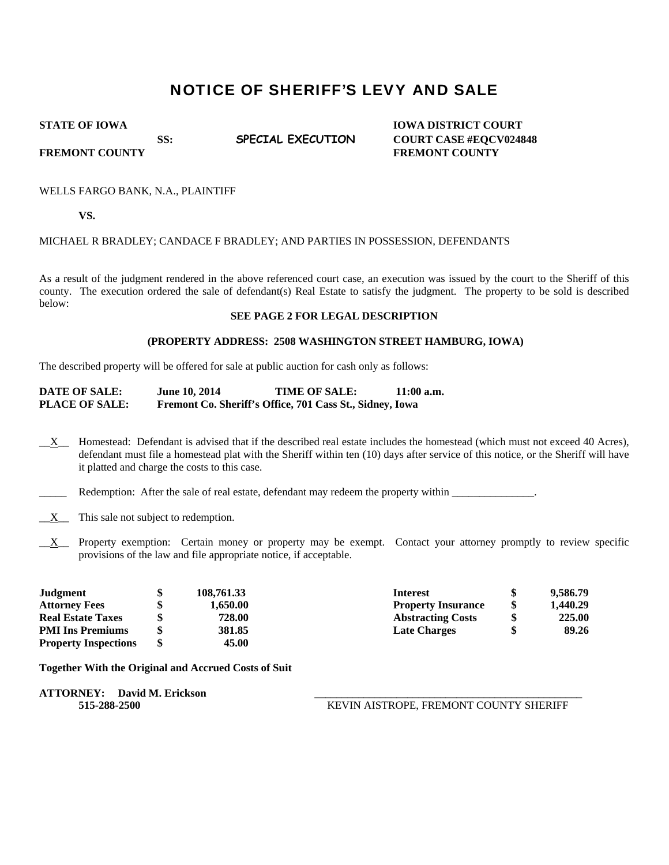# NOTICE OF SHERIFF'S LEVY AND SALE

**STATE OF IOWA IOWA IOWA DISTRICT COURT** SS: **SPECIAL EXECUTION** COURT CASE #EQCV024848

**FREMONT COUNTY SERVICE SERVICE SERVICE SERVICE SERVICE SERVICE SERVICE SERVICE SERVICE SERVICE SERVICE SERVICE SERVICE SERVICE SERVICE SERVICE SERVICE SERVICE SERVICE SERVICE SERVICE SERVICE SERVICE SERVICE SERVICE SERVIC** 

## WELLS FARGO BANK, N.A., PLAINTIFF

**VS.** 

## MICHAEL R BRADLEY; CANDACE F BRADLEY; AND PARTIES IN POSSESSION, DEFENDANTS

As a result of the judgment rendered in the above referenced court case, an execution was issued by the court to the Sheriff of this county. The execution ordered the sale of defendant(s) Real Estate to satisfy the judgment. The property to be sold is described below:

## **SEE PAGE 2 FOR LEGAL DESCRIPTION**

#### **(PROPERTY ADDRESS: 2508 WASHINGTON STREET HAMBURG, IOWA)**

The described property will be offered for sale at public auction for cash only as follows:

| <b>DATE OF SALE:</b>  | <b>June 10, 2014</b> | <b>TIME OF SALE:</b>                                     | $11:00$ a.m. |
|-----------------------|----------------------|----------------------------------------------------------|--------------|
| <b>PLACE OF SALE:</b> |                      | Fremont Co. Sheriff's Office, 701 Cass St., Sidney, Iowa |              |

 $X_{\text{max}}$  Homestead: Defendant is advised that if the described real estate includes the homestead (which must not exceed 40 Acres), defendant must file a homestead plat with the Sheriff within ten (10) days after service of this notice, or the Sheriff will have it platted and charge the costs to this case.

Redemption: After the sale of real estate, defendant may redeem the property within \_\_\_\_\_\_\_\_\_\_\_\_\_\_.

- $\underline{X}$  This sale not subject to redemption.
- $X$  Property exemption: Certain money or property may be exempt. Contact your attorney promptly to review specific provisions of the law and file appropriate notice, if acceptable.

| Judgment                    | 108,761.33 | <b>Interest</b>           | 9,586.79       |
|-----------------------------|------------|---------------------------|----------------|
| <b>Attorney Fees</b>        | 1.650.00   | <b>Property Insurance</b> | \$<br>1,440.29 |
| <b>Real Estate Taxes</b>    | 728.00     | <b>Abstracting Costs</b>  | \$<br>225.00   |
| <b>PMI Ins Premiums</b>     | 381.85     | <b>Late Charges</b>       | 89.26          |
| <b>Property Inspections</b> | 45.00      |                           |                |

**Together With the Original and Accrued Costs of Suit** 

**ATTORNEY: David M. Erickson** \_\_\_\_\_\_\_\_\_\_\_\_\_\_\_\_\_\_\_\_\_\_\_\_\_\_\_\_\_\_\_\_\_\_\_\_\_\_\_\_\_\_\_\_\_\_\_\_\_

 **515-288-2500** KEVIN AISTROPE, FREMONT COUNTY SHERIFF